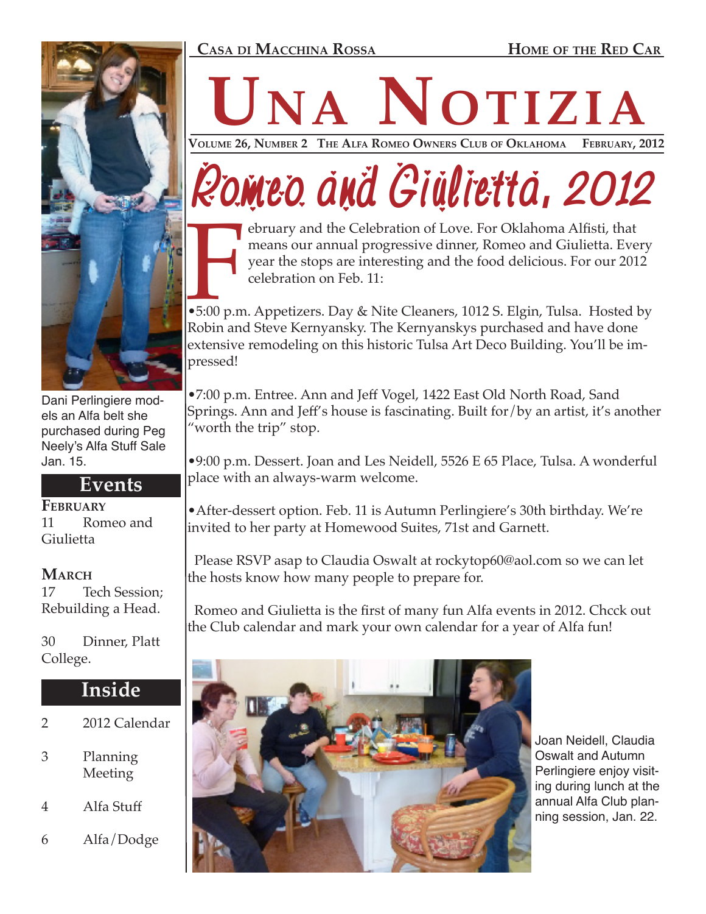### **Casa di Macchina Rossa Home of the Red Car**



Dani Perlingiere models an Alfa belt she purchased during Peg Neely's Alfa Stuff Sale Jan. 15.

## **Events**

**February** 11 Romeo and Giulietta

### **March**

17 Tech Session; Rebuilding a Head.

30 Dinner, Platt College.

## **Inside**

- 2 2012 Calendar
- 3 Planning Meeting
- 4 Alfa Stuff

6 Alfa/Dodge

# **NANOTIZIA**

Volume 26, Number 2 The Alfa Romeo Owners Club of Oklahoma

## Romeo and Giulietta, 2012

ebruary and the Celebration of Love. For Oklahoma Alfisti, that means our annual progressive dinner, Romeo and Giulietta. Every year the stops are interesting and the food delicious. For our 2012 celebration on Feb. 11:

5:00 p.m •5:00 p.m. Appetizers. Day & Nite Cleaners, 1012 S. Elgin, Tulsa. Hosted by Robin and Steve Kernyansky. The Kernyanskys purchased and have done extensive remodeling on this historic Tulsa Art Deco Building. You'll be impressed!

•7:00 p.m. Entree. Ann and Jeff Vogel, 1422 East Old North Road, Sand Springs. Ann and Jeff's house is fascinating. Built for/by an artist, it's another "worth the trip" stop.

•9:00 p.m. Dessert. Joan and Les Neidell, 5526 E 65 Place, Tulsa. A wonderful place with an always-warm welcome.

•After-dessert option. Feb. 11 is Autumn Perlingiere's 30th birthday. We're invited to her party at Homewood Suites, 71st and Garnett.

 Please RSVP asap to Claudia Oswalt at rockytop60@aol.com so we can let the hosts know how many people to prepare for.

 Romeo and Giulietta is the first of many fun Alfa events in 2012. Chcck out the Club calendar and mark your own calendar for a year of Alfa fun!



Joan Neidell, Claudia Oswalt and Autumn Perlingiere enjoy visiting during lunch at the annual Alfa Club planning session, Jan. 22.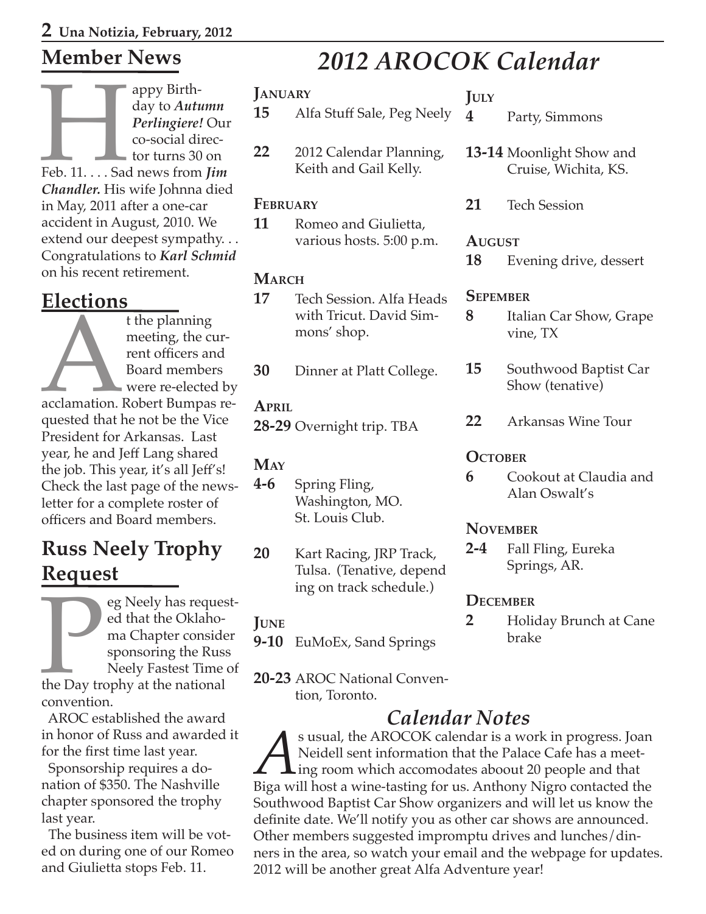## **Member News**

appy Birth-<br>day to *Autu*<br>*Perlingiere!*<br>co-social different co-social different<br>for turns 30<br>*Feb. 11.* . . . Sad news from day to *Autumn Perlingiere!* Our co-social director turns 30 on Feb. 11. . . . Sad news from *Jim Chandler.* His wife Johnna died in May, 2011 after a one-car accident in August, 2010. We extend our deepest sympathy. . . Congratulations to *Karl Schmid* on his recent retirement.

**Elections**<br>the planning t the planning<br>
meeting, the current officers and<br>
Board member<br>
were re-elected<br>
acclamation. Robert Bumpas<br>
quested that he not be the Vi meeting, the current officers and Board members were re-elected by acclamation. Robert Bumpas requested that he not be the Vice President for Arkansas. Last year, he and Jeff Lang shared the job. This year, it's all Jeff's! Check the last page of the newsletter for a complete roster of officers and Board members.

## **Russ Neely Trophy Request**

Example 18 Neely has requested that the Oklahoma Chapter consider sponsoring the Russ<br>Neely Fastest Time of the Day trophy at the national convention ed that the Oklahoma Chapter consider sponsoring the Russ Neely Fastest Time of the Day trophy at the national convention.

 AROC established the award in honor of Russ and awarded it for the first time last year.

 Sponsorship requires a donation of \$350. The Nashville chapter sponsored the trophy last year.

 The business item will be voted on during one of our Romeo and Giulietta stops Feb. 11.

## *2012 AROCOK Calendar*

### **January**

- **15** Alfa Stuff Sale, Peg Neely
- **22** 2012 Calendar Planning, Keith and Gail Kelly.

### **February**

**11** Romeo and Giulietta, various hosts. 5:00 p.m.

## **March**

- **17** Tech Session. Alfa Heads with Tricut. David Simmons' shop.
- **30** Dinner at Platt College.

## **April**

**28-29** Overnight trip. TBA

## **May**

- **4-6** Spring Fling, Washington, MO. St. Louis Club.
- **20** Kart Racing, JRP Track, Tulsa. (Tenative, depend ing on track schedule.)

## **June**

- **9-10** EuMoEx, Sand Springs
- **20-23** AROC National Convention, Toronto.

*Calendar Notes*<br>s usual, the AROCOK calendar is a work in progress. Joan S usual, the AROCOK calendar is a work in progress. Joan<br>Neidell sent information that the Palace Cafe has a meet-<br>hig room which accomodates aboout 20 people and that<br>Biga will host a wine-tasting for us. Anthony Nigro co Neidell sent information that the Palace Cafe has a meet- $\perp$  ing room which accomodates aboout 20 people and that Biga will host a wine-tasting for us. Anthony Nigro contacted the Southwood Baptist Car Show organizers and will let us know the definite date. We'll notify you as other car shows are announced. Other members suggested impromptu drives and lunches/dinners in the area, so watch your email and the webpage for updates. 2012 will be another great Alfa Adventure year!

## **July**

- **4** Party, Simmons
- **13-14** Moonlight Show and Cruise, Wichita, KS.
- **21** Tech Session

## **August**

**18** Evening drive, dessert

## **Sepember**

- **8** Italian Car Show, Grape vine, TX
- **15** Southwood Baptist Car Show (tenative)
- **22** Arkansas Wine Tour

## **OCTOBER**

**6** Cookout at Claudia and Alan Oswalt's

## **November**

**2-4** Fall Fling, Eureka Springs, AR.

## **December**

**2** Holiday Brunch at Cane brake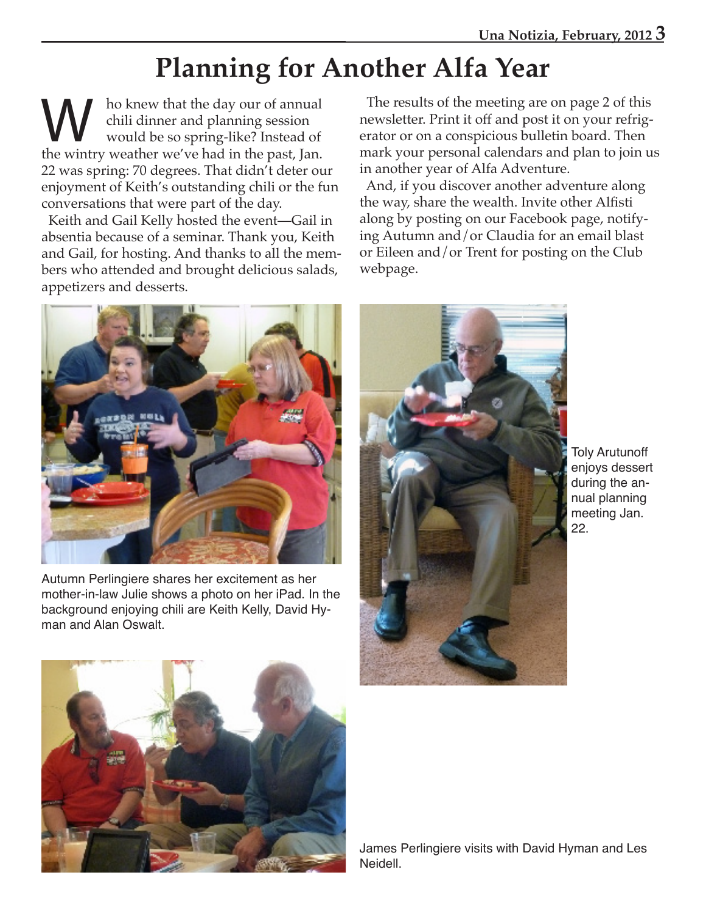## **Planning for Another Alfa Year**

W ho knew that the day our of annual<br>
chili dinner and planning session<br>
would be so spring-like? Instead of<br>
the wintry weather we've had in the past. Ian chili dinner and planning session the wintry weather we've had in the past, Jan. 22 was spring: 70 degrees. That didn't deter our enjoyment of Keith's outstanding chili or the fun conversations that were part of the day.

 Keith and Gail Kelly hosted the event—Gail in absentia because of a seminar. Thank you, Keith and Gail, for hosting. And thanks to all the members who attended and brought delicious salads, appetizers and desserts.

 The results of the meeting are on page 2 of this newsletter. Print it off and post it on your refrigerator or on a conspicious bulletin board. Then mark your personal calendars and plan to join us in another year of Alfa Adventure.

 And, if you discover another adventure along the way, share the wealth. Invite other Alfisti along by posting on our Facebook page, notifying Autumn and/or Claudia for an email blast or Eileen and/or Trent for posting on the Club webpage.



Autumn Perlingiere shares her excitement as her mother-in-law Julie shows a photo on her iPad. In the background enjoying chili are Keith Kelly, David Hyman and Alan Oswalt.



Toly Arutunoff enjoys dessert during the annual planning meeting Jan. 22.



James Perlingiere visits with David Hyman and Les Neidell.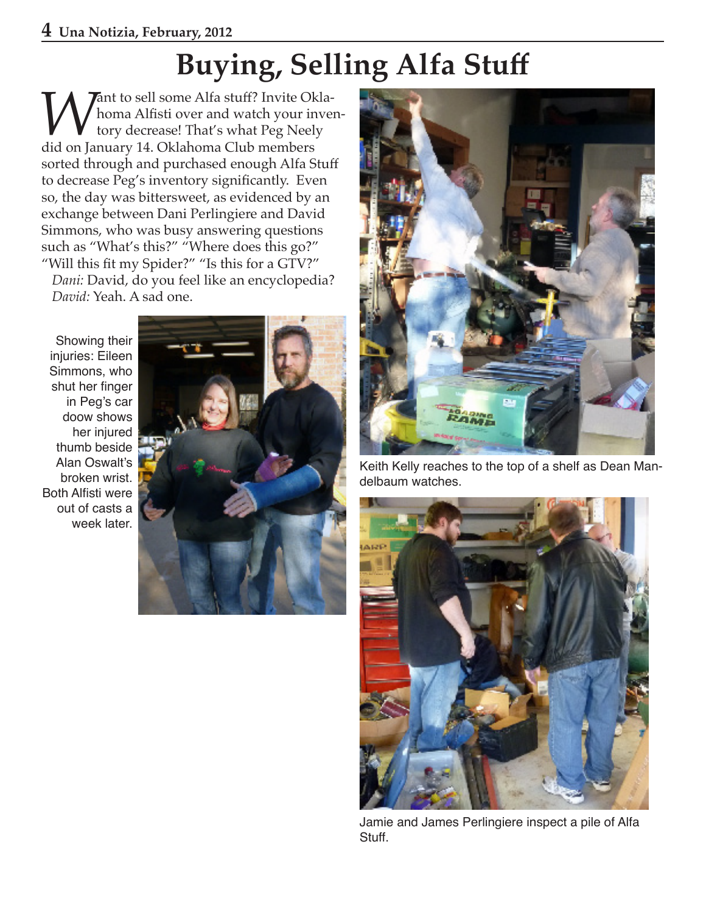## **Buying, Selling Alfa Stuff**

**Want to sell some Alfa stuff? Invite Okla-**<br>tory decrease! That's what Peg Neely<br>did on January 14. Oklahoma Club members homa Alfisti over and watch your inventory decrease! That's what Peg Neely sorted through and purchased enough Alfa Stuff to decrease Peg's inventory significantly. Even so, the day was bittersweet, as evidenced by an exchange between Dani Perlingiere and David Simmons, who was busy answering questions such as "What's this?" "Where does this go?" "Will this fit my Spider?" "Is this for a GTV?" *Dani:* David, do you feel like an encyclopedia? *David:* Yeah. A sad one.

Showing their injuries: Eileen Simmons, who shut her finger in Peg's car doow shows her injured thumb beside Alan Oswalt's broken wrist. Both Alfisti were out of casts a week later.





Keith Kelly reaches to the top of a shelf as Dean Mandelbaum watches.



Jamie and James Perlingiere inspect a pile of Alfa Stuff.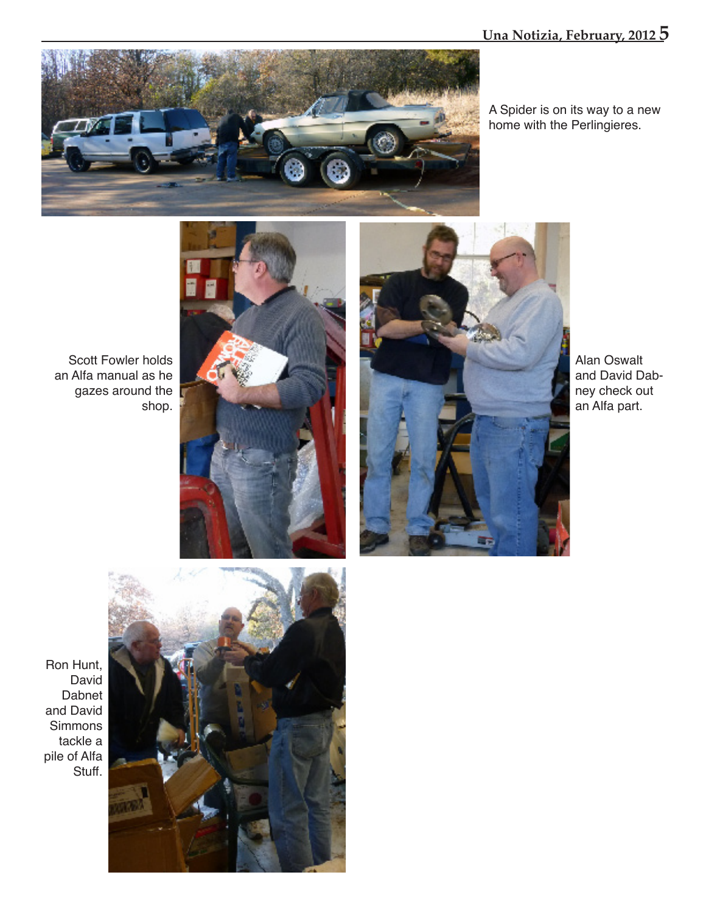

A Spider is on its way to a new home with the Perlingieres.

Scott Fowler holds an Alfa manual as he gazes around the shop.





Alan Oswalt and David Dabney check out an Alfa part.

Ron Hunt, David Dabnet and David Simmons tackle a pile of Alfa Stuff.

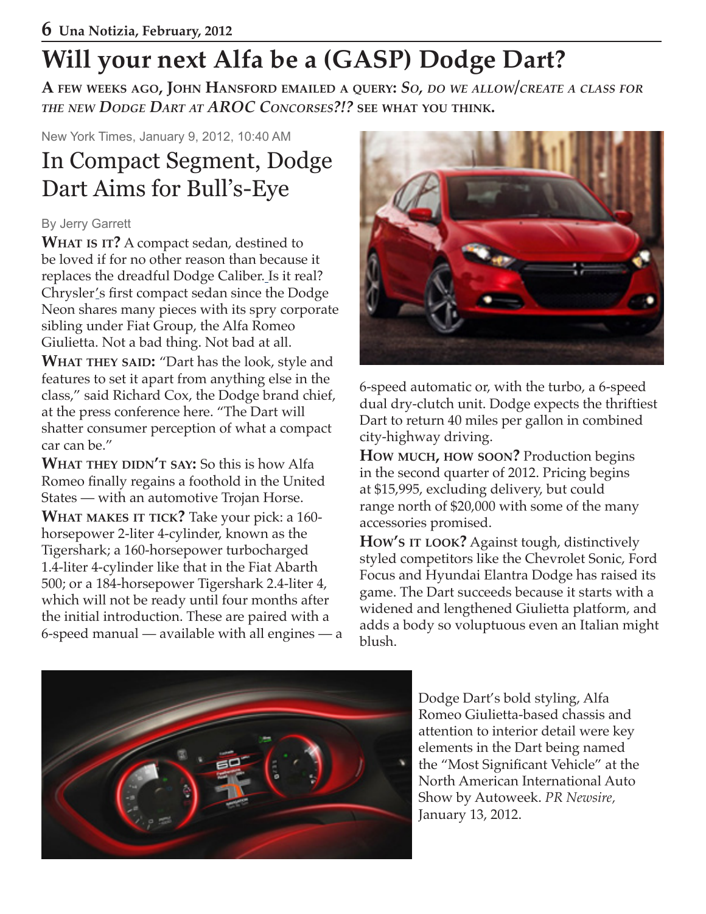## **Will your next Alfa be a (GASP) Dodge Dart?**

**A few weeks ago, John Hansford emailed <sup>a</sup> query:** *So, do we allow/create <sup>a</sup> class for the new Dodge Dart at AROC Concorses?!?* **see what you think.**

New York Times, January 9, 2012, 10:40 AM

## In Compact Segment, Dodge Dart Aims for Bull's-Eye

## By Jerry Garrett

**What is it?** A compact sedan, destined to be loved if for no other reason than because it replaces the dreadful Dodge Caliber. Is it real? Chrysler's first compact sedan since the Dodge Neon shares many pieces with its spry corporate sibling under Fiat Group, the Alfa Romeo Giulietta. Not a bad thing. Not bad at all.

**WHAT THEY SAID:** "Dart has the look, style and features to set it apart from anything else in the class," said Richard Cox, the Dodge brand chief, at the press conference here. "The Dart will shatter consumer perception of what a compact car can be."

**What they didn't say:** So this is how Alfa Romeo finally regains a foothold in the United States — with an automotive Trojan Horse.

**What makes it tick?** Take your pick: a 160 horsepower 2-liter 4-cylinder, known as the Tigershark; a 160-horsepower turbocharged 1.4-liter 4-cylinder like that in the Fiat Abarth 500; or a 184-horsepower Tigershark 2.4-liter 4, which will not be ready until four months after the initial introduction. These are paired with a 6-speed manual — available with all engines — a



6-speed automatic or, with the turbo, a 6-speed dual dry-clutch unit. Dodge expects the thriftiest Dart to return 40 miles per gallon in combined city-highway driving.

**How much, how soon?** Production begins in the second quarter of 2012. Pricing begins at \$15,995, excluding delivery, but could range north of \$20,000 with some of the many accessories promised.

**How's it look?** Against tough, distinctively styled competitors like the Chevrolet Sonic, Ford Focus and Hyundai Elantra Dodge has raised its game. The Dart succeeds because it starts with a widened and lengthened Giulietta platform, and adds a body so voluptuous even an Italian might blush.



Dodge Dart's bold styling, Alfa Romeo Giulietta-based chassis and attention to interior detail were key elements in the Dart being named the "Most Significant Vehicle" at the North American International Auto Show by Autoweek. *PR Newsire,*  January 13, 2012.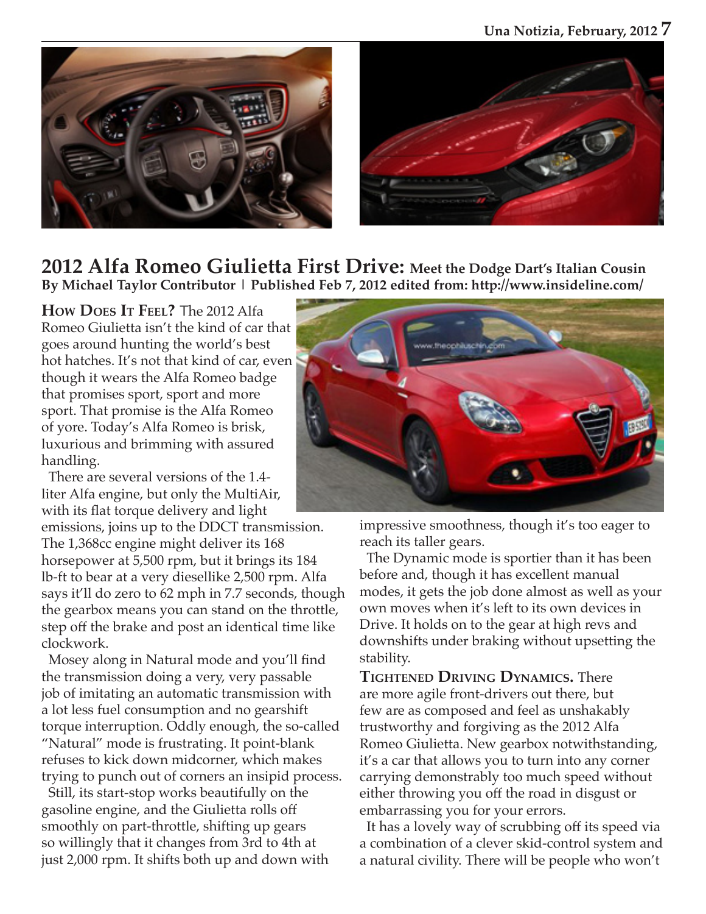



## **2012 Alfa Romeo Giulietta First Drive: Meet the Dodge Dart's Italian Cousin By Michael Taylor Contributor | Published Feb 7, 2012 edited from: http://www.insideline.com/**

**How Does It Feel?** The 2012 Alfa Romeo Giulietta isn't the kind of car that goes around hunting the world's best hot hatches. It's not that kind of car, even though it wears the Alfa Romeo badge that promises sport, sport and more sport. That promise is the Alfa Romeo of yore. Today's Alfa Romeo is brisk, luxurious and brimming with assured handling.

 There are several versions of the 1.4 liter Alfa engine, but only the MultiAir, with its flat torque delivery and light

emissions, joins up to the DDCT transmission. The 1,368cc engine might deliver its 168 horsepower at 5,500 rpm, but it brings its 184 lb-ft to bear at a very diesellike 2,500 rpm. Alfa says it'll do zero to 62 mph in 7.7 seconds, though the gearbox means you can stand on the throttle, step off the brake and post an identical time like clockwork.

 Mosey along in Natural mode and you'll find the transmission doing a very, very passable job of imitating an automatic transmission with a lot less fuel consumption and no gearshift torque interruption. Oddly enough, the so-called "Natural" mode is frustrating. It point-blank refuses to kick down midcorner, which makes trying to punch out of corners an insipid process.

 Still, its start-stop works beautifully on the gasoline engine, and the Giulietta rolls off smoothly on part-throttle, shifting up gears so willingly that it changes from 3rd to 4th at just 2,000 rpm. It shifts both up and down with



impressive smoothness, though it's too eager to reach its taller gears.

 The Dynamic mode is sportier than it has been before and, though it has excellent manual modes, it gets the job done almost as well as your own moves when it's left to its own devices in Drive. It holds on to the gear at high revs and downshifts under braking without upsetting the stability.

**Tightened Driving Dynamics.** There are more agile front-drivers out there, but few are as composed and feel as unshakably trustworthy and forgiving as the 2012 Alfa Romeo Giulietta. New gearbox notwithstanding, it's a car that allows you to turn into any corner carrying demonstrably too much speed without either throwing you off the road in disgust or embarrassing you for your errors.

 It has a lovely way of scrubbing off its speed via a combination of a clever skid-control system and a natural civility. There will be people who won't